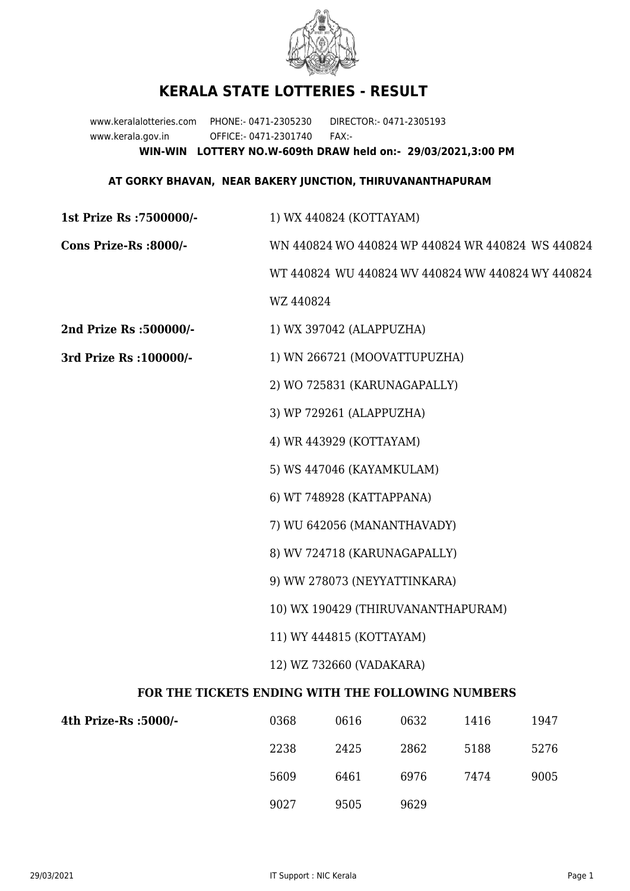

## **KERALA STATE LOTTERIES - RESULT**

www.keralalotteries.com PHONE:- 0471-2305230 DIRECTOR:- 0471-2305193 www.kerala.gov.in OFFICE:- 0471-2301740 FAX:- **WIN-WIN LOTTERY NO.W-609th DRAW held on:- 29/03/2021,3:00 PM**

## **AT GORKY BHAVAN, NEAR BAKERY JUNCTION, THIRUVANANTHAPURAM**

**1st Prize Rs :7500000/-** 1) WX 440824 (KOTTAYAM) **Cons Prize-Rs :8000/-** WN 440824 WO 440824 WP 440824 WR 440824 WS 440824 WT 440824 WU 440824 WV 440824 WW 440824 WY 440824 WZ 440824 **2nd Prize Rs :500000/-** 1) WX 397042 (ALAPPUZHA) **3rd Prize Rs :100000/-** 1) WN 266721 (MOOVATTUPUZHA) 2) WO 725831 (KARUNAGAPALLY) 3) WP 729261 (ALAPPUZHA) 4) WR 443929 (KOTTAYAM) 5) WS 447046 (KAYAMKULAM) 6) WT 748928 (KATTAPPANA) 7) WU 642056 (MANANTHAVADY) 8) WV 724718 (KARUNAGAPALLY) 9) WW 278073 (NEYYATTINKARA) 10) WX 190429 (THIRUVANANTHAPURAM) 11) WY 444815 (KOTTAYAM) 12) WZ 732660 (VADAKARA) **FOR THE TICKETS ENDING WITH THE FOLLOWING NUMBERS**

| 4th Prize-Rs :5000/- | 0368 | 0616 | 0632 | 1416 | 1947 |
|----------------------|------|------|------|------|------|
|                      | 2238 | 2425 | 2862 | 5188 | 5276 |
|                      | 5609 | 6461 | 6976 | 7474 | 9005 |
|                      | 9027 | 9505 | 9629 |      |      |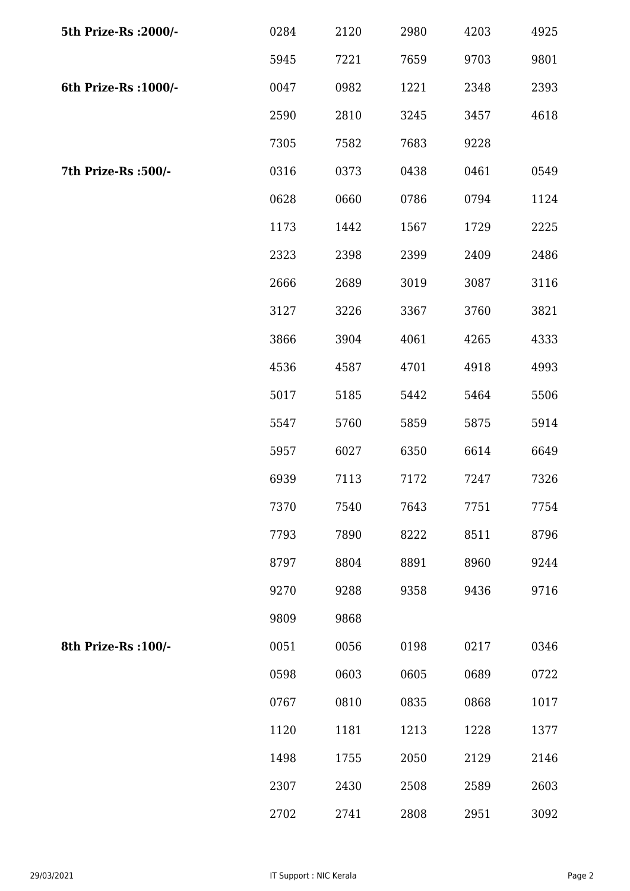| 5th Prize-Rs : 2000/- | 0284 | 2120 | 2980 | 4203 | 4925 |
|-----------------------|------|------|------|------|------|
|                       | 5945 | 7221 | 7659 | 9703 | 9801 |
| 6th Prize-Rs : 1000/- | 0047 | 0982 | 1221 | 2348 | 2393 |
|                       | 2590 | 2810 | 3245 | 3457 | 4618 |
|                       | 7305 | 7582 | 7683 | 9228 |      |
| 7th Prize-Rs :500/-   | 0316 | 0373 | 0438 | 0461 | 0549 |
|                       | 0628 | 0660 | 0786 | 0794 | 1124 |
|                       | 1173 | 1442 | 1567 | 1729 | 2225 |
|                       | 2323 | 2398 | 2399 | 2409 | 2486 |
|                       | 2666 | 2689 | 3019 | 3087 | 3116 |
|                       | 3127 | 3226 | 3367 | 3760 | 3821 |
|                       | 3866 | 3904 | 4061 | 4265 | 4333 |
|                       | 4536 | 4587 | 4701 | 4918 | 4993 |
|                       | 5017 | 5185 | 5442 | 5464 | 5506 |
|                       | 5547 | 5760 | 5859 | 5875 | 5914 |
|                       | 5957 | 6027 | 6350 | 6614 | 6649 |
|                       | 6939 | 7113 | 7172 | 7247 | 7326 |
|                       | 7370 | 7540 | 7643 | 7751 | 7754 |
|                       | 7793 | 7890 | 8222 | 8511 | 8796 |
|                       | 8797 | 8804 | 8891 | 8960 | 9244 |
|                       | 9270 | 9288 | 9358 | 9436 | 9716 |
|                       | 9809 | 9868 |      |      |      |
| 8th Prize-Rs : 100/-  | 0051 | 0056 | 0198 | 0217 | 0346 |
|                       | 0598 | 0603 | 0605 | 0689 | 0722 |
|                       | 0767 | 0810 | 0835 | 0868 | 1017 |
|                       | 1120 | 1181 | 1213 | 1228 | 1377 |
|                       | 1498 | 1755 | 2050 | 2129 | 2146 |
|                       | 2307 | 2430 | 2508 | 2589 | 2603 |
|                       | 2702 | 2741 | 2808 | 2951 | 3092 |